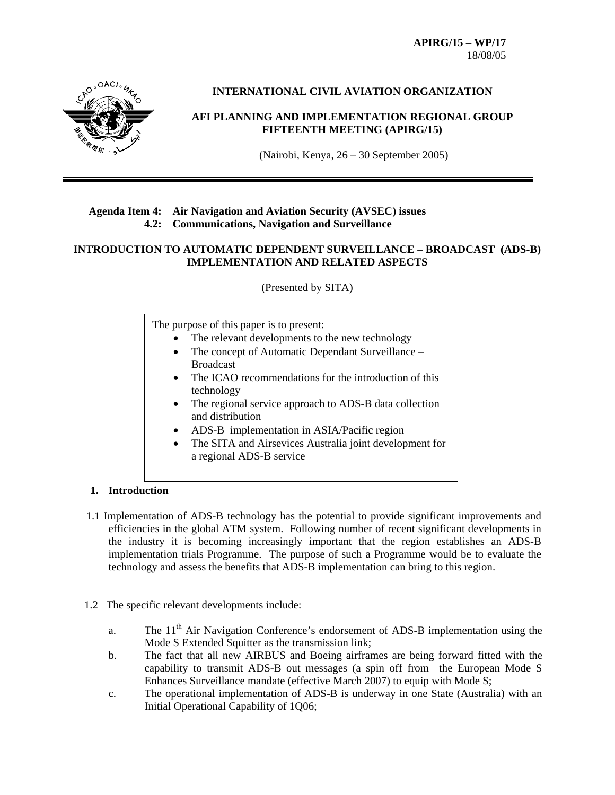**APIRG/15 – WP/17**  18/08/05



# **INTERNATIONAL CIVIL AVIATION ORGANIZATION**

### **AFI PLANNING AND IMPLEMENTATION REGIONAL GROUP FIFTEENTH MEETING (APIRG/15)**

(Nairobi, Kenya, 26 – 30 September 2005)

#### **Agenda Item 4: Air Navigation and Aviation Security (AVSEC) issues 4.2: Communications, Navigation and Surveillance**

#### **INTRODUCTION TO AUTOMATIC DEPENDENT SURVEILLANCE – BROADCAST (ADS-B) IMPLEMENTATION AND RELATED ASPECTS**

(Presented by SITA)

The purpose of this paper is to present:

- The relevant developments to the new technology
- The concept of Automatic Dependant Surveillance Broadcast
- The ICAO recommendations for the introduction of this technology
- The regional service approach to ADS-B data collection and distribution
- ADS-B implementation in ASIA/Pacific region
- The SITA and Airsevices Australia joint development for a regional ADS-B service

#### **1. Introduction**

- 1.1 Implementation of ADS-B technology has the potential to provide significant improvements and efficiencies in the global ATM system. Following number of recent significant developments in the industry it is becoming increasingly important that the region establishes an ADS-B implementation trials Programme. The purpose of such a Programme would be to evaluate the technology and assess the benefits that ADS-B implementation can bring to this region.
- 1.2 The specific relevant developments include:
	- a. The 11<sup>th</sup> Air Navigation Conference's endorsement of ADS-B implementation using the Mode S Extended Squitter as the transmission link;
	- b. The fact that all new AIRBUS and Boeing airframes are being forward fitted with the capability to transmit ADS-B out messages (a spin off from the European Mode S Enhances Surveillance mandate (effective March 2007) to equip with Mode S;
	- c. The operational implementation of ADS-B is underway in one State (Australia) with an Initial Operational Capability of 1Q06;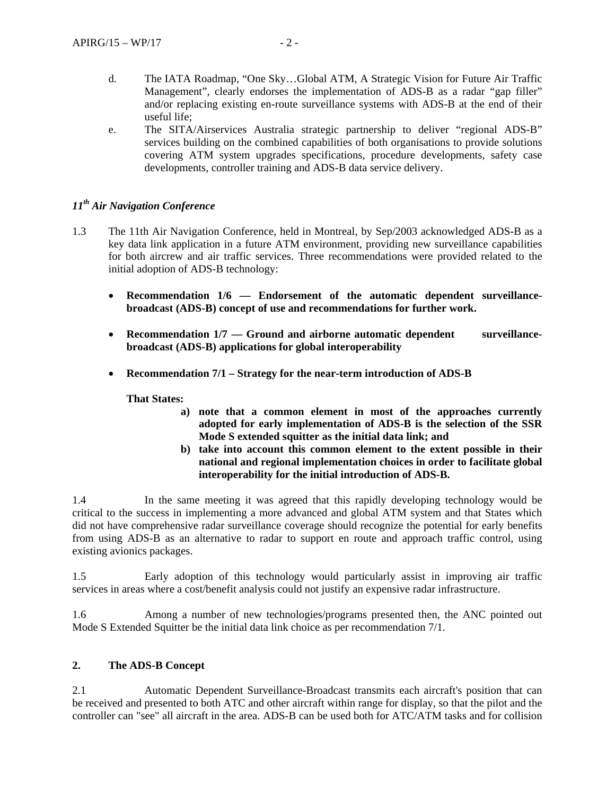- d. The IATA Roadmap, "One Sky…Global ATM, A Strategic Vision for Future Air Traffic Management", clearly endorses the implementation of ADS-B as a radar "gap filler" and/or replacing existing en-route surveillance systems with ADS-B at the end of their useful life;
- e. The SITA/Airservices Australia strategic partnership to deliver "regional ADS-B" services building on the combined capabilities of both organisations to provide solutions covering ATM system upgrades specifications, procedure developments, safety case developments, controller training and ADS-B data service delivery.

# *11th Air Navigation Conference*

- 1.3 The 11th Air Navigation Conference, held in Montreal, by Sep/2003 acknowledged ADS-B as a key data link application in a future ATM environment, providing new surveillance capabilities for both aircrew and air traffic services. Three recommendations were provided related to the initial adoption of ADS-B technology:
	- **Recommendation 1/6 Endorsement of the automatic dependent surveillancebroadcast (ADS-B) concept of use and recommendations for further work.**
	- Recommendation  $1/7$  Ground and airborne automatic dependent surveillance**broadcast (ADS-B) applications for global interoperability**
	- **Recommendation 7/1 Strategy for the near-term introduction of ADS-B**

**That States:** 

- **a) note that a common element in most of the approaches currently adopted for early implementation of ADS-B is the selection of the SSR Mode S extended squitter as the initial data link; and**
- **b) take into account this common element to the extent possible in their national and regional implementation choices in order to facilitate global interoperability for the initial introduction of ADS-B.**

1.4 In the same meeting it was agreed that this rapidly developing technology would be critical to the success in implementing a more advanced and global ATM system and that States which did not have comprehensive radar surveillance coverage should recognize the potential for early benefits from using ADS-B as an alternative to radar to support en route and approach traffic control, using existing avionics packages.

1.5 Early adoption of this technology would particularly assist in improving air traffic services in areas where a cost/benefit analysis could not justify an expensive radar infrastructure.

1.6 Among a number of new technologies/programs presented then, the ANC pointed out Mode S Extended Squitter be the initial data link choice as per recommendation 7/1.

#### **2. The ADS-B Concept**

2.1 Automatic Dependent Surveillance-Broadcast transmits each aircraft's position that can be received and presented to both ATC and other aircraft within range for display, so that the pilot and the controller can "see" all aircraft in the area. ADS-B can be used both for ATC/ATM tasks and for collision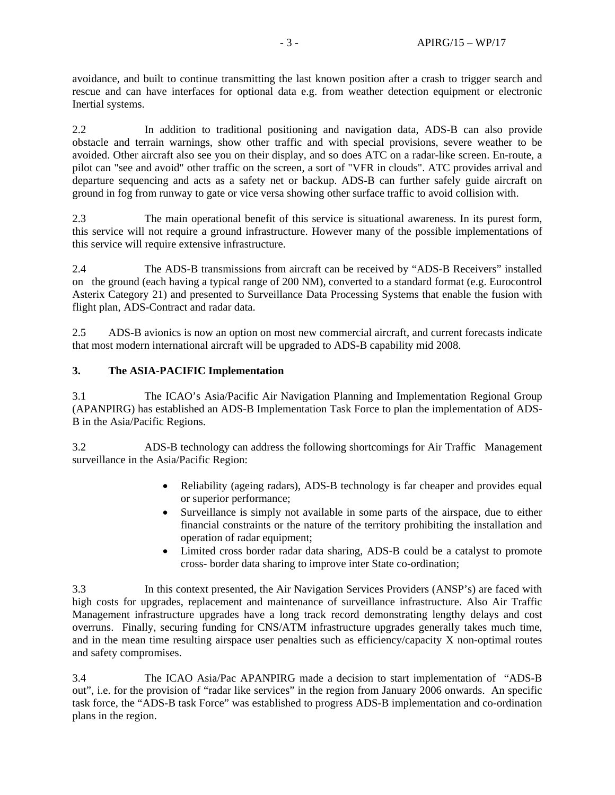avoidance, and built to continue transmitting the last known position after a crash to trigger search and rescue and can have interfaces for optional data e.g. from weather detection equipment or electronic Inertial systems.

2.2 In addition to traditional positioning and navigation data, ADS-B can also provide obstacle and terrain warnings, show other traffic and with special provisions, severe weather to be avoided. Other aircraft also see you on their display, and so does ATC on a radar-like screen. En-route, a pilot can "see and avoid" other traffic on the screen, a sort of "VFR in clouds". ATC provides arrival and departure sequencing and acts as a safety net or backup. ADS-B can further safely guide aircraft on ground in fog from runway to gate or vice versa showing other surface traffic to avoid collision with.

2.3 The main operational benefit of this service is situational awareness. In its purest form, this service will not require a ground infrastructure. However many of the possible implementations of this service will require extensive infrastructure.

2.4 The ADS-B transmissions from aircraft can be received by "ADS-B Receivers" installed on the ground (each having a typical range of 200 NM), converted to a standard format (e.g. Eurocontrol Asterix Category 21) and presented to Surveillance Data Processing Systems that enable the fusion with flight plan, ADS-Contract and radar data.

2.5 ADS-B avionics is now an option on most new commercial aircraft, and current forecasts indicate that most modern international aircraft will be upgraded to ADS-B capability mid 2008.

### **3. The ASIA-PACIFIC Implementation**

3.1 The ICAO's Asia/Pacific Air Navigation Planning and Implementation Regional Group (APANPIRG) has established an ADS-B Implementation Task Force to plan the implementation of ADS-B in the Asia/Pacific Regions.

3.2 ADS-B technology can address the following shortcomings for Air Traffic Management surveillance in the Asia/Pacific Region:

- Reliability (ageing radars), ADS-B technology is far cheaper and provides equal or superior performance;
- Surveillance is simply not available in some parts of the airspace, due to either financial constraints or the nature of the territory prohibiting the installation and operation of radar equipment;
- Limited cross border radar data sharing, ADS-B could be a catalyst to promote cross- border data sharing to improve inter State co-ordination;

3.3 In this context presented, the Air Navigation Services Providers (ANSP's) are faced with high costs for upgrades, replacement and maintenance of surveillance infrastructure. Also Air Traffic Management infrastructure upgrades have a long track record demonstrating lengthy delays and cost overruns. Finally, securing funding for CNS/ATM infrastructure upgrades generally takes much time, and in the mean time resulting airspace user penalties such as efficiency/capacity X non-optimal routes and safety compromises.

3.4 The ICAO Asia/Pac APANPIRG made a decision to start implementation of "ADS-B out", i.e. for the provision of "radar like services" in the region from January 2006 onwards. An specific task force, the "ADS-B task Force" was established to progress ADS-B implementation and co-ordination plans in the region.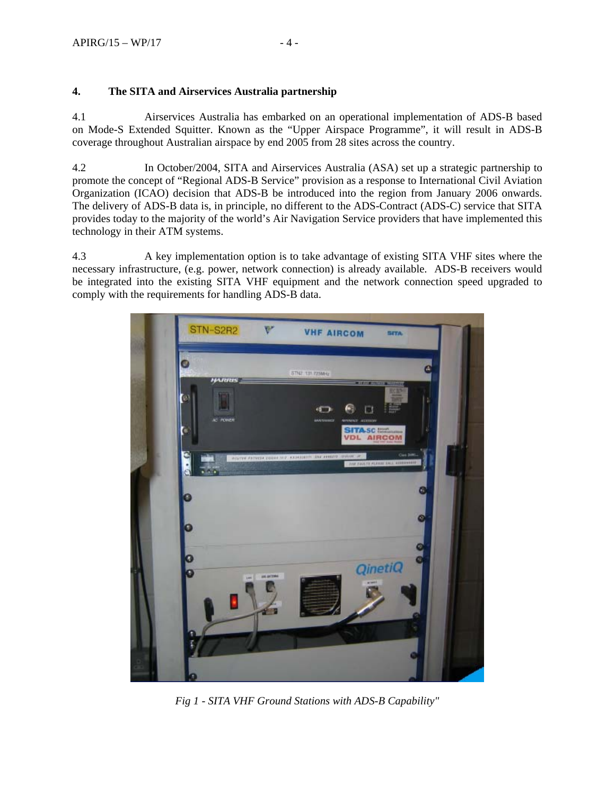# **4. The SITA and Airservices Australia partnership**

4.1 Airservices Australia has embarked on an operational implementation of ADS-B based on Mode-S Extended Squitter. Known as the "Upper Airspace Programme", it will result in ADS-B coverage throughout Australian airspace by end 2005 from 28 sites across the country.

4.2 In October/2004, SITA and Airservices Australia (ASA) set up a strategic partnership to promote the concept of "Regional ADS-B Service" provision as a response to International Civil Aviation Organization (ICAO) decision that ADS-B be introduced into the region from January 2006 onwards. The delivery of ADS-B data is, in principle, no different to the ADS-Contract (ADS-C) service that SITA provides today to the majority of the world's Air Navigation Service providers that have implemented this technology in their ATM systems.

4.3 A key implementation option is to take advantage of existing SITA VHF sites where the necessary infrastructure, (e.g. power, network connection) is already available. ADS-B receivers would be integrated into the existing SITA VHF equipment and the network connection speed upgraded to comply with the requirements for handling ADS-B data.



*Fig 1 - SITA VHF Ground Stations with ADS-B Capability"*